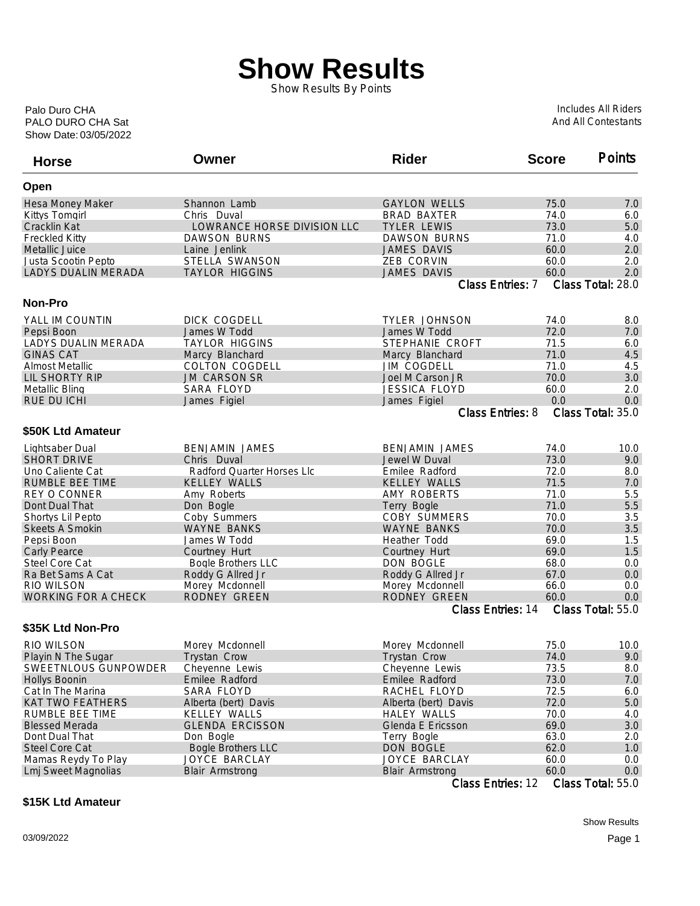## **Show Results**

Show Results By Points

Show Date: 03/05/2022 PALO DURO CHA Sat Palo Duro CHA

Includes All Riders And All Contestants

| <b>Horse</b>               | Owner                       | <b>Rider</b>                                | <b>Score</b> | <b>Points</b>            |
|----------------------------|-----------------------------|---------------------------------------------|--------------|--------------------------|
| Open                       |                             |                                             |              |                          |
| Hesa Money Maker           | Shannon Lamb                | <b>GAYLON WELLS</b>                         | 75.0         | 7.0                      |
| <b>Kittys Tomgirl</b>      | Chris Duval                 | <b>BRAD BAXTER</b>                          | 74.0         | 6.0                      |
| Cracklin Kat               | LOWRANCE HORSE DIVISION LLC | <b>TYLER LEWIS</b>                          | 73.0         | 5.0                      |
| <b>Freckled Kitty</b>      | <b>DAWSON BURNS</b>         | <b>DAWSON BURNS</b>                         | 71.0         | 4.0                      |
| Metallic Juice             | Laine Jenlink               | <b>JAMES DAVIS</b>                          | 60.0         | 2.0                      |
| Justa Scootin Pepto        | STELLA SWANSON              | ZEB CORVIN                                  | 60.0         | 2.0                      |
| <b>LADYS DUALIN MERADA</b> | <b>TAYLOR HIGGINS</b>       | <b>JAMES DAVIS</b>                          | 60.0         | 2.0                      |
|                            |                             | Class Entries: 7                            |              | Class Total: 28.0        |
| <b>Non-Pro</b>             |                             |                                             |              |                          |
| YALL IM COUNTIN            | DICK COGDELL                | <b>TYLER JOHNSON</b>                        | 74.0         | 8.0                      |
| Pepsi Boon                 | James W Todd                | James W Todd                                | 72.0         | 7.0                      |
| LADYS DUALIN MERADA        | <b>TAYLOR HIGGINS</b>       | STEPHANIE CROFT                             | 71.5         | 6.0                      |
| <b>GINAS CAT</b>           | Marcy Blanchard             | Marcy Blanchard                             | 71.0         | 4.5                      |
| <b>Almost Metallic</b>     | <b>COLTON COGDELL</b>       | <b>JIM COGDELL</b>                          | 71.0         | 4.5                      |
| <b>LIL SHORTY RIP</b>      | <b>JM CARSON SR</b>         | Joel M Carson JR                            | 70.0         | 3.0                      |
| Metallic Bling             | <b>SARA FLOYD</b>           | <b>JESSICA FLOYD</b>                        | 60.0         | 2.0                      |
| <b>RUE DU ICHI</b>         | James Figiel                | James Figiel                                | 0.0          | 0.0                      |
|                            |                             | <b>Class Entries: 8</b>                     |              | Class Total: 35.0        |
|                            |                             |                                             |              |                          |
| \$50K Ltd Amateur          |                             |                                             |              |                          |
| Lightsaber Dual            | <b>BENJAMIN JAMES</b>       | <b>BENJAMIN JAMES</b>                       | 74.0         | 10.0                     |
| <b>SHORT DRIVE</b>         | Chris Duval                 | Jewel W Duval                               | 73.0         | 9.0                      |
| Uno Caliente Cat           | Radford Quarter Horses Llc  | Emilee Radford                              | 72.0         | 8.0                      |
| <b>RUMBLE BEE TIME</b>     | <b>KELLEY WALLS</b>         | <b>KELLEY WALLS</b>                         | 71.5         | 7.0                      |
| <b>REY O CONNER</b>        | Amy Roberts                 | AMY ROBERTS                                 | 71.0         | 5.5                      |
| Dont Dual That             | Don Bogle                   | Terry Bogle                                 | 71.0         | 5.5                      |
| Shortys Lil Pepto          | Coby Summers                | <b>COBY SUMMERS</b>                         | 70.0         | 3.5                      |
| <b>Skeets A Smokin</b>     | <b>WAYNE BANKS</b>          | <b>WAYNE BANKS</b>                          | 70.0         | 3.5                      |
| Pepsi Boon                 | James W Todd                | Heather Todd                                | 69.0         | 1.5                      |
| Carly Pearce               | Courtney Hurt               | Courtney Hurt                               | 69.0         | 1.5                      |
| Steel Core Cat             | <b>Bogle Brothers LLC</b>   | DON BOGLE                                   | 68.0         | 0.0                      |
| Ra Bet Sams A Cat          | Roddy G Allred Jr           | Roddy G Allred Jr                           | 67.0         | 0.0                      |
| <b>RIO WILSON</b>          | Morey Mcdonnell             | Morey Mcdonnell                             | 66.0         | 0.0                      |
| <b>WORKING FOR A CHECK</b> | RODNEY GREEN                | <b>RODNEY GREEN</b>                         | 60.0         | 0.0                      |
|                            |                             | Class Entries: 14                           |              | Class Total: 55.0        |
| \$35K Ltd Non-Pro          |                             |                                             |              |                          |
| <b>RIO WILSON</b>          | Morey Mcdonnell             | Morey Mcdonnell                             | 75.0         | 10.0                     |
| Playin N The Sugar         | <b>Trystan Crow</b>         | Trystan Crow                                | 74.0         | 9.0                      |
| SWEETNLOUS GUNPOWDER       | Cheyenne Lewis              | Cheyenne Lewis                              | 73.5         | 8.0                      |
| <b>Hollys Boonin</b>       | Emilee Radford              | Emilee Radford                              | 73.0         | 7.0                      |
| Cat In The Marina          | SARA FLOYD                  | RACHEL FLOYD                                | 72.5         | 6.0                      |
| <b>KAT TWO FEATHERS</b>    | Alberta (bert) Davis        | Alberta (bert) Davis                        | 72.0         | 5.0                      |
| RUMBLE BEE TIME            | <b>KELLEY WALLS</b>         | <b>HALEY WALLS</b>                          | 70.0         | 4.0                      |
| <b>Blessed Merada</b>      | <b>GLENDA ERCISSON</b>      | Glenda E Ericsson                           | 69.0         | 3.0                      |
| Dont Dual That             | Don Bogle                   | Terry Bogle                                 | 63.0         |                          |
| Steel Core Cat             |                             |                                             |              | 2.0                      |
|                            | <b>Bogle Brothers LLC</b>   | DON BOGLE                                   | 62.0         | 1.0                      |
| Mamas Reydy To Play        | JOYCE BARCLAY               | JOYCE BARCLAY                               | 60.0         | 0.0                      |
| <b>Lmj Sweet Magnolias</b> | <b>Blair Armstrong</b>      | <b>Blair Armstrong</b><br>Class Entries: 12 | 60.0         | 0.0<br>Class Total: 55.0 |
|                            |                             |                                             |              |                          |

## **\$15K Ltd Amateur**

Show Results 03/09/2022 Page 1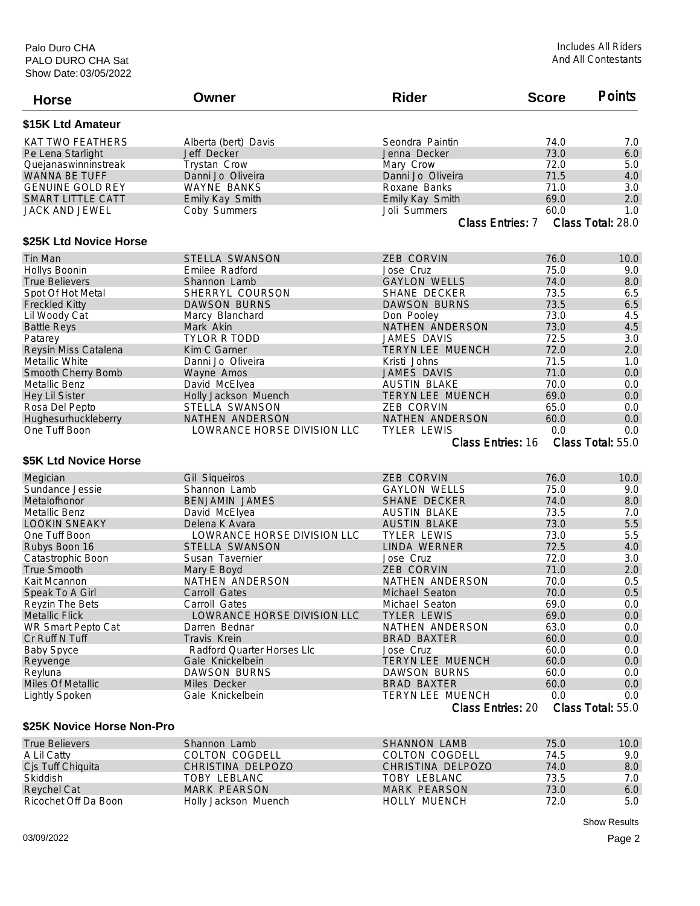| <b>Horse</b>               | Owner                       | <b>Rider</b>             | <b>Score</b> | <b>Points</b>     |
|----------------------------|-----------------------------|--------------------------|--------------|-------------------|
| \$15K Ltd Amateur          |                             |                          |              |                   |
| <b>KAT TWO FEATHERS</b>    | Alberta (bert) Davis        | Seondra Paintin          | 74.0         | 7.0               |
| Pe Lena Starlight          | Jeff Decker                 | Jenna Decker             | 73.0         | 6.0               |
| Quejanaswinninstreak       | Trystan Crow                | Mary Crow                | 72.0         | 5.0               |
| <b>WANNA BE TUFF</b>       | Danni Jo Oliveira           | Danni Jo Oliveira        | 71.5         | 4.0               |
| <b>GENUINE GOLD REY</b>    | <b>WAYNE BANKS</b>          | Roxane Banks             | 71.0         | 3.0               |
| <b>SMART LITTLE CATT</b>   | Emily Kay Smith             | Emily Kay Smith          | 69.0         | 2.0               |
| <b>JACK AND JEWEL</b>      | Coby Summers                | Joli Summers             | 60.0         | 1.0               |
|                            |                             | Class Entries: 7         |              | Class Total: 28.0 |
| \$25K Ltd Novice Horse     |                             |                          |              |                   |
| Tin Man                    | <b>STELLA SWANSON</b>       | <b>ZEB CORVIN</b>        | 76.0         | 10.0              |
| Hollys Boonin              | Emilee Radford              | Jose Cruz                | 75.0         | 9.0               |
| <b>True Believers</b>      | Shannon Lamb                | <b>GAYLON WELLS</b>      | 74.0         | 8.0               |
| Spot Of Hot Metal          | SHERRYL COURSON             | SHANE DECKER             | 73.5         | 6.5               |
| <b>Freckled Kitty</b>      | <b>DAWSON BURNS</b>         | <b>DAWSON BURNS</b>      | 73.5         | 6.5               |
| Lil Woody Cat              | Marcy Blanchard             | Don Pooley               | 73.0         | 4.5               |
| <b>Battle Reys</b>         | Mark Akin                   | NATHEN ANDERSON          | 73.0         | 4.5               |
| Patarey                    | <b>TYLOR R TODD</b>         | JAMES DAVIS              | 72.5         | 3.0               |
| Reysin Miss Catalena       | Kim C Garner                | TERYN LEE MUENCH         | 72.0         | 2.0               |
| Metallic White             | Danni Jo Oliveira           | Kristi Johns             | 71.5         | 1.0               |
| Smooth Cherry Bomb         | Wayne Amos                  | <b>JAMES DAVIS</b>       | 71.0         | 0.0               |
| Metallic Benz              | David McElvea               | <b>AUSTIN BLAKE</b>      | 70.0         | 0.0               |
| <b>Hey Lil Sister</b>      | Holly Jackson Muench        | <b>TERYN LEE MUENCH</b>  | 69.0         | 0.0               |
| Rosa Del Pepto             | STELLA SWANSON              | <b>ZEB CORVIN</b>        | 65.0         | 0.0               |
| Hughesurhuckleberry        | NATHEN ANDERSON             | NATHEN ANDERSON          | 60.0         | 0.0               |
| One Tuff Boon              | LOWRANCE HORSE DIVISION LLC | <b>TYLER LEWIS</b>       | 0.0          | 0.0               |
|                            |                             | <b>Class Entries: 16</b> |              | Class Total: 55.0 |
| \$5K Ltd Novice Horse      |                             |                          |              |                   |
|                            |                             |                          |              |                   |
| Megician                   | <b>Gil Siqueiros</b>        | <b>ZEB CORVIN</b>        | 76.0         | 10.0              |
| Sundance Jessie            | Shannon Lamb                | <b>GAYLON WELLS</b>      | 75.0         | 9.0               |
| Metalofhonor               | <b>BENJAMIN JAMES</b>       | <b>SHANE DECKER</b>      | 74.0         | 8.0               |
| Metallic Benz              | David McElyea               | <b>AUSTIN BLAKE</b>      | 73.5         | 7.0               |
| <b>LOOKIN SNEAKY</b>       | Delena K Avara              | <b>AUSTIN BLAKE</b>      | 73.0         | 5.5               |
| One Tuff Boon              | LOWRANCE HORSE DIVISION LLC | <b>TYLER LEWIS</b>       | 73.0         | 5.5               |
| Rubys Boon 16              | STELLA SWANSON              | LINDA WERNER             | 72.5         | 4.0               |
| Catastrophic Boon          | Susan Tavernier             | Jose Cruz                | 72.0         | 3.0               |
| <b>True Smooth</b>         | Mary E Boyd                 | <b>ZEB CORVIN</b>        | 71.0         | 2.0               |
| Kait Mcannon               | NATHEN ANDERSON             | NATHEN ANDERSON          | 70.0         | 0.5               |
| Speak To A Girl            | Carroll Gates               | Michael Seaton           | 70.0         | 0.5               |
| Reyzin The Bets            | Carroll Gates               | Michael Seaton           | 69.0         | 0.0               |
| <b>Metallic Flick</b>      | LOWRANCE HORSE DIVISION LLC | <b>TYLER LEWIS</b>       | 69.0         | $0.0\,$           |
| WR Smart Pepto Cat         | Darren Bednar               | NATHEN ANDERSON          | 63.0         | 0.0               |
| Cr Ruff N Tuff             | Travis Krein                | <b>BRAD BAXTER</b>       | 60.0         | 0.0               |
| <b>Baby Spyce</b>          | Radford Quarter Horses Llc  | Jose Cruz                | 60.0         | 0.0               |
| Reyvenge                   | Gale Knickelbein            | <b>TERYN LEE MUENCH</b>  | 60.0         | 0.0               |
| Reyluna                    | <b>DAWSON BURNS</b>         | <b>DAWSON BURNS</b>      | 60.0         | 0.0               |
| Miles Of Metallic          | Miles Decker                | <b>BRAD BAXTER</b>       | 60.0         | 0.0               |
| <b>Lightly Spoken</b>      | Gale Knickelbein            | <b>TERYN LEE MUENCH</b>  | 0.0          | 0.0               |
|                            |                             | Class Entries: 20        |              | Class Total: 55.0 |
| \$25K Novice Horse Non-Pro |                             |                          |              |                   |
| True Relievers             | Shannon Lamh                | SHANNON LAMR             | 750          | 100               |

| <b>True Believers</b> | Shannon Lamb         | SHANNON LAMB        | 75.0 | 10.0 |
|-----------------------|----------------------|---------------------|------|------|
| A Lil Catty           | COLTON COGDELL       | COLTON COGDELL      | 74.5 | 9.0  |
| Cjs Tuff Chiquita     | CHRISTINA DELPOZO    | CHRISTINA DELPOZO   | 74.0 | 8.0  |
| Skiddish              | TOBY LEBLANC         | TOBY LEBLANC        | 73.5 | 7.0  |
| Reychel Cat           | MARK PEARSON         | MARK PEARSON        | 73.0 | 6.0  |
| Ricochet Off Da Boon  | Holly Jackson Muench | <b>HOLLY MUENCH</b> | 72.0 | 5.0  |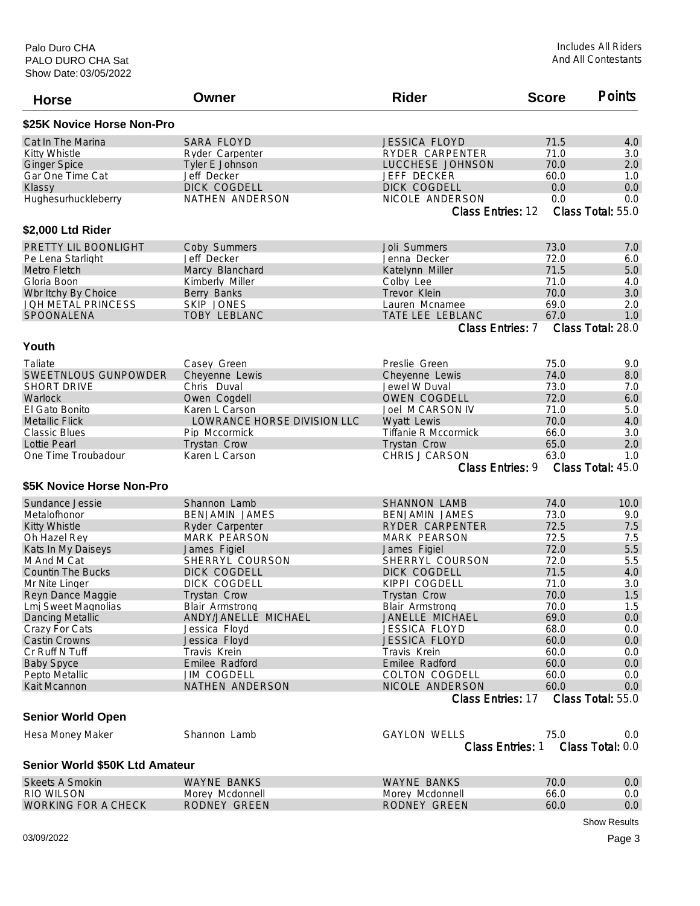| <b>Horse</b>                   | Owner                       | <b>Rider</b>                         | <b>Score</b> | <b>Points</b>            |
|--------------------------------|-----------------------------|--------------------------------------|--------------|--------------------------|
| \$25K Novice Horse Non-Pro     |                             |                                      |              |                          |
| Cat In The Marina              | SARA FLOYD                  | <b>JESSICA FLOYD</b>                 | 71.5         | 4.0                      |
| <b>Kitty Whistle</b>           | Ryder Carpenter             | RYDER CARPENTER                      | 71.0         | 3.0                      |
| <b>Ginger Spice</b>            | Tyler E Johnson             | LUCCHESE JOHNSON                     | 70.0         | 2.0                      |
| Gar One Time Cat               | Jeff Decker                 | JEFF DECKER                          | 60.0         | 1.0                      |
| Klassy                         | DICK COGDELL                | DICK COGDELL                         | 0.0          | 0.0                      |
| Hughesurhuckleberry            | NATHEN ANDERSON             | NICOLE ANDERSON                      | 0.0          | 0.0                      |
|                                |                             | Class Entries: 12                    |              | Class Total: 55.0        |
| \$2,000 Ltd Rider              |                             |                                      |              |                          |
| PRETTY LIL BOONLIGHT           | Coby Summers                | Joli Summers                         | 73.0         | 7.0                      |
| Pe Lena Starlight              | Jeff Decker                 | Jenna Decker                         | 72.0         | 6.0                      |
| Metro Fletch                   | Marcy Blanchard             | Katelynn Miller                      | 71.5         | 5.0                      |
| Gloria Boon                    | Kimberly Miller             | Colby Lee                            | 71.0         | 4.0                      |
| Wbr Itchy By Choice            | Berry Banks                 | Trevor Klein                         | 70.0         | 3.0                      |
| <b>JOH METAL PRINCESS</b>      | <b>SKIP JONES</b>           | Lauren Mcnamee                       | 69.0         | 2.0                      |
| SPOONALENA                     | <b>TOBY LEBLANC</b>         | TATE LEE LEBLANC                     | 67.0         | 1.0                      |
|                                |                             | Class Entries: 7                     |              | Class Total: 28.0        |
| Youth                          |                             |                                      |              |                          |
| Taliate                        | Casey Green                 | Preslie Green                        | 75.0         | 9.0                      |
| SWEETNLOUS GUNPOWDER           | Cheyenne Lewis              | Cheyenne Lewis                       | 74.0         | 8.0                      |
| <b>SHORT DRIVE</b>             | Chris Duval                 | Jewel W Duval                        | 73.0         | 7.0                      |
| Warlock                        | Owen Cogdell                | <b>OWEN COGDELL</b>                  | 72.0         | 6.0                      |
| El Gato Bonito                 | Karen L Carson              | Joel M CARSON IV                     | 71.0         | 5.0                      |
| <b>Metallic Flick</b>          | LOWRANCE HORSE DIVISION LLC | Wyatt Lewis                          | 70.0         | 4.0                      |
| <b>Classic Blues</b>           | Pip Mccormick               | <b>Tiffanie R Mccormick</b>          | 66.0         | 3.0                      |
| Lottie Pearl                   | <b>Trystan Crow</b>         | <b>Trystan Crow</b>                  | 65.0         | 2.0                      |
| One Time Troubadour            | Karen L Carson              | CHRIS J CARSON                       | 63.0         | 1.0                      |
|                                |                             | Class Entries: 9                     |              | Class Total: 45.0        |
| \$5K Novice Horse Non-Pro      |                             |                                      |              |                          |
| Sundance Jessie                | Shannon Lamb                | <b>SHANNON LAMB</b>                  | 74.0         | 10.0                     |
| Metalofhonor                   | <b>BENJAMIN JAMES</b>       | <b>BENJAMIN JAMES</b>                | 73.0         | 9.0                      |
| <b>Kitty Whistle</b>           | Ryder Carpenter             | RYDER CARPENTER                      | 72.5         | 7.5                      |
| Oh Hazel Rey                   | <b>MARK PEARSON</b>         | <b>MARK PEARSON</b>                  | 72.5         | 7.5                      |
| Kats In My Daiseys             | James Figiel                | James Figiel                         | 72.0         | 5.5                      |
| M And M Cat                    | SHERRYL COURSON             | SHERRYL COURSON                      | 72.0         | 5.5                      |
| <b>Countin The Bucks</b>       | DICK COGDELL                | DICK COGDELL                         | 71.5         | 4.0                      |
| Mr Nite Linger                 | DICK COGDELL                | KIPPI COGDELL                        | 71.0         | 3.0                      |
| Reyn Dance Maggie              | Trystan Crow                | Trystan Crow                         | 70.0         | $1.5$                    |
| Lmj Sweet Magnolias            | Blair Armstrong             | Blair Armstrong                      | 70.0         | 1.5                      |
| <b>Dancing Metallic</b>        | ANDY/JANELLE MICHAEL        | JANELLE MICHAEL                      | 69.0         | 0.0                      |
|                                |                             | <b>JESSICA FLOYD</b>                 |              |                          |
| Crazy For Cats                 | Jessica Floyd               |                                      | 68.0         | 0.0                      |
| <b>Castin Crowns</b>           | Jessica Floyd               | <b>JESSICA FLOYD</b>                 | 60.0         | 0.0                      |
| Cr Ruff N Tuff                 | Travis Krein                | Travis Krein                         | 60.0         | 0.0                      |
| <b>Baby Spyce</b>              | Emilee Radford              | Emilee Radford                       | 60.0         | 0.0                      |
| Pepto Metallic                 | <b>JIM COGDELL</b>          | <b>COLTON COGDELL</b>                | 60.0         | 0.0                      |
| Kait Mcannon                   | NATHEN ANDERSON             | NICOLE ANDERSON<br>Class Entries: 17 | 60.0         | 0.0<br>Class Total: 55.0 |
| <b>Senior World Open</b>       |                             |                                      |              |                          |
|                                | Shannon Lamb                | <b>GAYLON WELLS</b>                  | 75.0         |                          |
| Hesa Money Maker               |                             | Class Entries: 1                     |              | 0.0<br>Class Total: 0.0  |
| Senior World \$50K Ltd Amateur |                             |                                      |              |                          |
|                                |                             |                                      |              |                          |
| Skeets A Smokin                | <b>WAYNE BANKS</b>          | <b>WAYNE BANKS</b>                   | 70.0         | 0.0                      |

| Skeets A Smokin     | WAYNE BANKS     | WAYNE BANKS     | 70.C  |  |
|---------------------|-----------------|-----------------|-------|--|
| RIO WILSON          | Morey Mcdonnell | Morey Mcdonnell | .66.u |  |
| WORKING FOR A CHECK | RODNEY GREEN    | RODNEY GREEN    | 60.C  |  |
|                     |                 |                 |       |  |